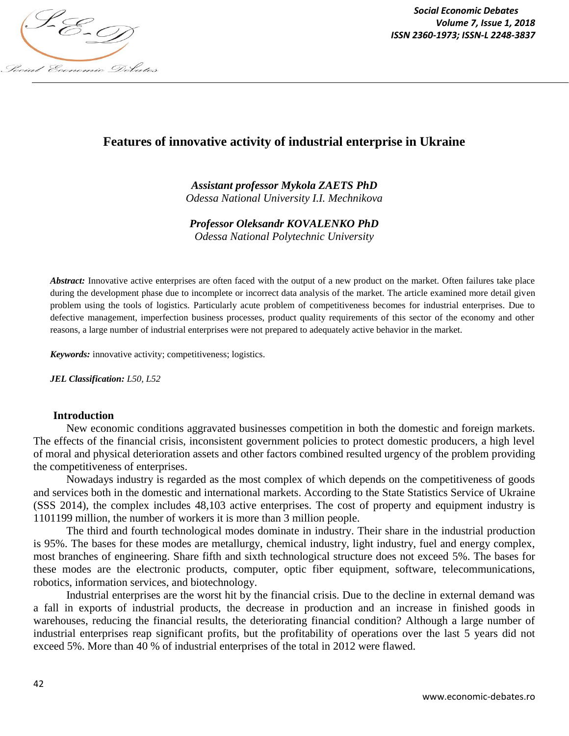

*Social Economic Debates Volume 7, Issue 1, 2018*

# **Features of innovative activity of industrial enterprise in Ukraine**

*Assistant professor Mykola ZAETS PhD Odessa National University I.I. Mechnikova*

*Professor Oleksandr KOVALENKO PhD*

*Odessa National Polytechnic University* 

*Abstract:* Innovative active enterprises are often faced with the output of a new product on the market. Often failures take place during the development phase due to incomplete or incorrect data analysis of the market. The article examined more detail given problem using the tools of logistics. Particularly acute problem of competitiveness becomes for industrial enterprises. Due to defective management, imperfection business processes, product quality requirements of this sector of the economy and other reasons, a large number of industrial enterprises were not prepared to adequately active behavior in the market.

*Keywords:* innovative activity; competitiveness; logistics.

*JEL Classification: L50, L52*

#### **Introduction**

New economic conditions aggravated businesses competition in both the domestic and foreign markets. The effects of the financial crisis, inconsistent government policies to protect domestic producers, a high level of moral and physical deterioration assets and other factors combined resulted urgency of the problem providing the competitiveness of enterprises.

Nowadays industry is regarded as the most complex of which depends on the competitiveness of goods and services both in the domestic and international markets. According to the State Statistics Service of Ukraine (SSS 2014), the complex includes 48,103 active enterprises. The cost of property and equipment industry is 1101199 million, the number of workers it is more than 3 million people.

The third and fourth technological modes dominate in industry. Their share in the industrial production is 95%. The bases for these modes are metallurgy, chemical industry, light industry, fuel and energy complex, most branches of engineering. Share fifth and sixth technological structure does not exceed 5%. The bases for these modes are the electronic products, computer, optic fiber equipment, software, telecommunications, robotics, information services, and biotechnology.

Industrial enterprises are the worst hit by the financial crisis. Due to the decline in external demand was a fall in exports of industrial products, the decrease in production and an increase in finished goods in warehouses, reducing the financial results, the deteriorating financial condition? Although a large number of industrial enterprises reap significant profits, but the profitability of operations over the last 5 years did not exceed 5%. More than 40 % of industrial enterprises of the total in 2012 were flawed.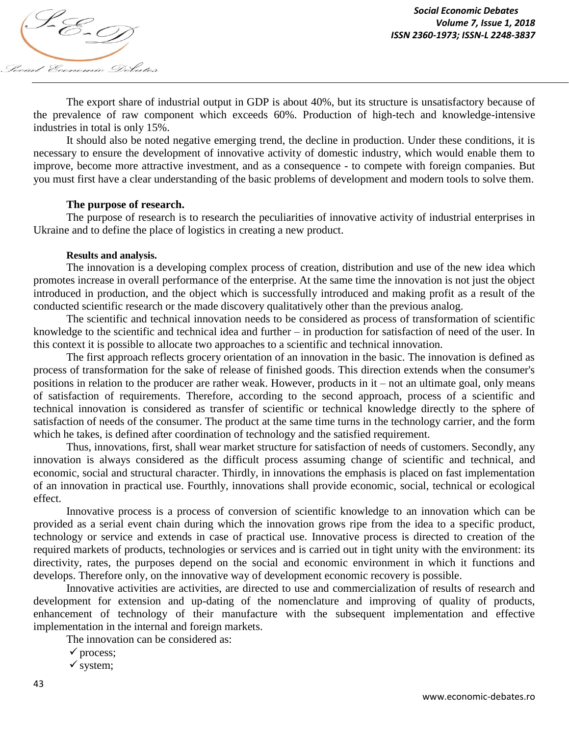

The export share of industrial output in GDP is about 40%, but its structure is unsatisfactory because of the prevalence of raw component which exceeds 60%. Production of high-tech and knowledge-intensive industries in total is only 15%.

It should also be noted negative emerging trend, the decline in production. Under these conditions, it is necessary to ensure the development of innovative activity of domestic industry, which would enable them to improve, become more attractive investment, and as a consequence *-* to compete with foreign companies. But you must first have a clear understanding of the basic problems of development and modern tools to solve them.

### **The purpose of research.**

The purpose of research is to research the peculiarities of innovative activity of industrial enterprises in Ukraine and to define the place of logistics in creating a new product.

#### **Results and analysis.**

The innovation is a developing complex process of creation, distribution and use of the new idea which promotes increase in overall performance of the enterprise. At the same time the innovation is not just the object introduced in production, and the object which is successfully introduced and making profit as a result of the conducted scientific research or the made discovery qualitatively other than the previous analog.

The scientific and technical innovation needs to be considered as process of transformation of scientific knowledge to the scientific and technical idea and further – in production for satisfaction of need of the user. In this context it is possible to allocate two approaches to a scientific and technical innovation.

The first approach reflects grocery orientation of an innovation in the basic. The innovation is defined as process of transformation for the sake of release of finished goods. This direction extends when the consumer's positions in relation to the producer are rather weak. However, products in it – not an ultimate goal, only means of satisfaction of requirements. Therefore, according to the second approach, process of a scientific and technical innovation is considered as transfer of scientific or technical knowledge directly to the sphere of satisfaction of needs of the consumer. The product at the same time turns in the technology carrier, and the form which he takes, is defined after coordination of technology and the satisfied requirement.

Thus, innovations, first, shall wear market structure for satisfaction of needs of customers. Secondly, any innovation is always considered as the difficult process assuming change of scientific and technical, and economic, social and structural character. Thirdly, in innovations the emphasis is placed on fast implementation of an innovation in practical use. Fourthly, innovations shall provide economic, social, technical or ecological effect.

Innovative process is a process of conversion of scientific knowledge to an innovation which can be provided as a serial event chain during which the innovation grows ripe from the idea to a specific product, technology or service and extends in case of practical use. Innovative process is directed to creation of the required markets of products, technologies or services and is carried out in tight unity with the environment: its directivity, rates, the purposes depend on the social and economic environment in which it functions and develops. Therefore only, on the innovative way of development economic recovery is possible.

Innovative activities are activities, are directed to use and commercialization of results of research and development for extension and up-dating of the nomenclature and improving of quality of products, enhancement of technology of their manufacture with the subsequent implementation and effective implementation in the internal and foreign markets.

The innovation can be considered as:

- $\checkmark$  process:
- $\checkmark$  system;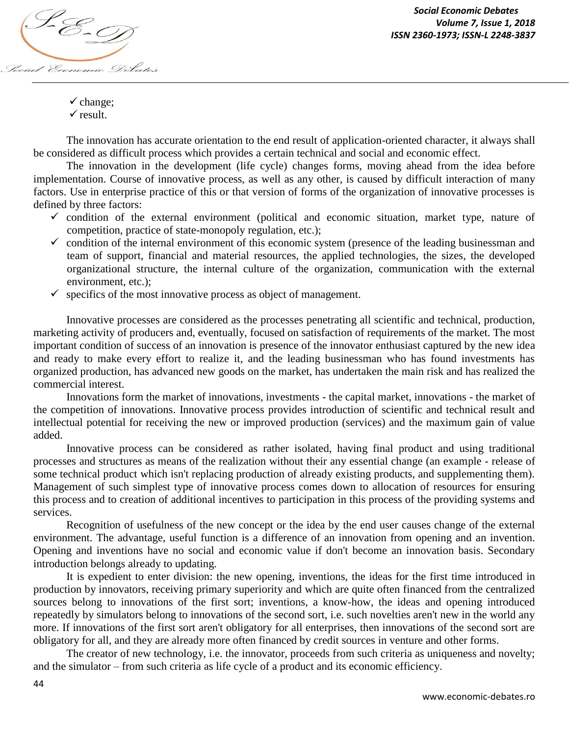

 $\checkmark$  change;  $\checkmark$  result.

The innovation has accurate orientation to the end result of application-oriented character, it always shall be considered as difficult process which provides a certain technical and social and economic effect.

The innovation in the development (life cycle) changes forms, moving ahead from the idea before implementation. Course of innovative process, as well as any other, is caused by difficult interaction of many factors. Use in enterprise practice of this or that version of forms of the organization of innovative processes is defined by three factors:

- $\checkmark$  condition of the external environment (political and economic situation, market type, nature of competition, practice of state-monopoly regulation, etc.);
- $\checkmark$  condition of the internal environment of this economic system (presence of the leading businessman and team of support, financial and material resources, the applied technologies, the sizes, the developed organizational structure, the internal culture of the organization, communication with the external environment, etc.);
- $\checkmark$  specifics of the most innovative process as object of management.

Innovative processes are considered as the processes penetrating all scientific and technical, production, marketing activity of producers and, eventually, focused on satisfaction of requirements of the market. The most important condition of success of an innovation is presence of the innovator enthusiast captured by the new idea and ready to make every effort to realize it, and the leading businessman who has found investments has organized production, has advanced new goods on the market, has undertaken the main risk and has realized the commercial interest.

Innovations form the market of innovations, investments - the capital market, innovations - the market of the competition of innovations. Innovative process provides introduction of scientific and technical result and intellectual potential for receiving the new or improved production (services) and the maximum gain of value added.

Innovative process can be considered as rather isolated, having final product and using traditional processes and structures as means of the realization without their any essential change (an example - release of some technical product which isn't replacing production of already existing products, and supplementing them). Management of such simplest type of innovative process comes down to allocation of resources for ensuring this process and to creation of additional incentives to participation in this process of the providing systems and services.

Recognition of usefulness of the new concept or the idea by the end user causes change of the external environment. The advantage, useful function is a difference of an innovation from opening and an invention. Opening and inventions have no social and economic value if don't become an innovation basis. Secondary introduction belongs already to updating.

It is expedient to enter division: the new opening, inventions, the ideas for the first time introduced in production by innovators, receiving primary superiority and which are quite often financed from the centralized sources belong to innovations of the first sort; inventions, a know-how, the ideas and opening introduced repeatedly by simulators belong to innovations of the second sort, i.e. such novelties aren't new in the world any more. If innovations of the first sort aren't obligatory for all enterprises, then innovations of the second sort are obligatory for all, and they are already more often financed by credit sources in venture and other forms.

The creator of new technology, i.e. the innovator, proceeds from such criteria as uniqueness and novelty; and the simulator – from such criteria as life cycle of a product and its economic efficiency.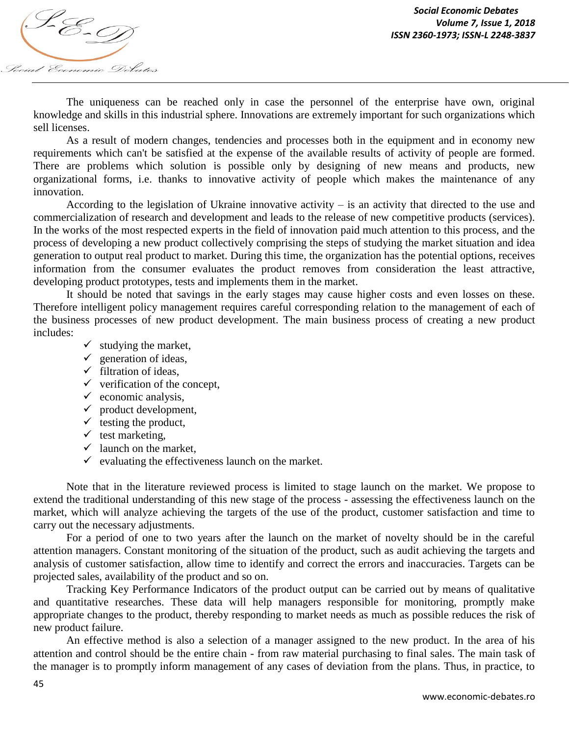

The uniqueness can be reached only in case the personnel of the enterprise have own, original knowledge and skills in this industrial sphere. Innovations are extremely important for such organizations which sell licenses.

As a result of modern changes, tendencies and processes both in the equipment and in economy new requirements which can't be satisfied at the expense of the available results of activity of people are formed. There are problems which solution is possible only by designing of new means and products, new organizational forms, i.e. thanks to innovative activity of people which makes the maintenance of any innovation.

According to the legislation of Ukraine innovative activity – is an activity that directed to the use and commercialization of research and development and leads to the release of new competitive products (services). In the works of the most respected experts in the field of innovation paid much attention to this process, and the process of developing a new product collectively comprising the steps of studying the market situation and idea generation to output real product to market. During this time, the organization has the potential options, receives information from the consumer evaluates the product removes from consideration the least attractive, developing product prototypes, tests and implements them in the market.

It should be noted that savings in the early stages may cause higher costs and even losses on these. Therefore intelligent policy management requires careful corresponding relation to the management of each of the business processes of new product development. The main business process of creating a new product includes:

- $\checkmark$  studying the market,
- $\checkmark$  generation of ideas,
- $\checkmark$  filtration of ideas.
- $\checkmark$  verification of the concept,
- $\checkmark$  economic analysis,
- $\checkmark$  product development,
- $\checkmark$  testing the product,
- $\checkmark$  test marketing,
- $\checkmark$  launch on the market,
- $\checkmark$  evaluating the effectiveness launch on the market.

Note that in the literature reviewed process is limited to stage launch on the market. We propose to extend the traditional understanding of this new stage of the process - assessing the effectiveness launch on the market, which will analyze achieving the targets of the use of the product, customer satisfaction and time to carry out the necessary adjustments.

For a period of one to two years after the launch on the market of novelty should be in the careful attention managers. Constant monitoring of the situation of the product, such as audit achieving the targets and analysis of customer satisfaction, allow time to identify and correct the errors and inaccuracies. Targets can be projected sales, availability of the product and so on.

Tracking Key Performance Indicators of the product output can be carried out by means of qualitative and quantitative researches. These data will help managers responsible for monitoring, promptly make appropriate changes to the product, thereby responding to market needs as much as possible reduces the risk of new product failure.

An effective method is also a selection of a manager assigned to the new product. In the area of his attention and control should be the entire chain - from raw material purchasing to final sales. The main task of the manager is to promptly inform management of any cases of deviation from the plans. Thus, in practice, to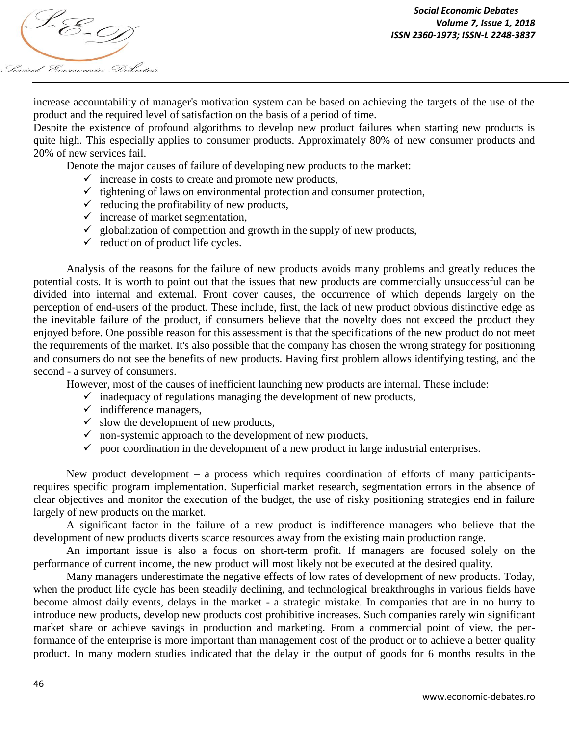

increase accountability of manager's motivation system can be based on achieving the targets of the use of the product and the required level of satisfaction on the basis of a period of time.

Despite the existence of profound algorithms to develop new product failures when starting new products is quite high. This especially applies to consumer products. Approximately 80% of new consumer products and 20% of new services fail.

Denote the major causes of failure of developing new products to the market:

- $\checkmark$  increase in costs to create and promote new products,
- $\checkmark$  tightening of laws on environmental protection and consumer protection,
- $\checkmark$  reducing the profitability of new products,
- $\checkmark$  increase of market segmentation,
- $\checkmark$  globalization of competition and growth in the supply of new products,
- $\checkmark$  reduction of product life cycles.

Analysis of the reasons for the failure of new products avoids many problems and greatly reduces the potential costs. It is worth to point out that the issues that new products are commercially unsuccessful can be divided into internal and external. Front cover causes, the occurrence of which depends largely on the perception of end-users of the product. These include, first, the lack of new product obvious distinctive edge as the inevitable failure of the product, if consumers believe that the novelty does not exceed the product they enjoyed before. One possible reason for this assessment is that the specifications of the new product do not meet the requirements of the market. It's also possible that the company has chosen the wrong strategy for positioning and consumers do not see the benefits of new products. Having first problem allows identifying testing, and the second - a survey of consumers.

However, most of the causes of inefficient launching new products are internal. These include:

- $\checkmark$  inadequacy of regulations managing the development of new products,
- $\checkmark$  indifference managers,
- $\checkmark$  slow the development of new products,
- $\checkmark$  non-systemic approach to the development of new products,
- $\checkmark$  poor coordination in the development of a new product in large industrial enterprises.

New product development – a process which requires coordination of efforts of many participantsrequires specific program implementation. Superficial market research, segmentation errors in the absence of clear objectives and monitor the execution of the budget, the use of risky positioning strategies end in failure largely of new products on the market.

A significant factor in the failure of a new product is indifference managers who believe that the development of new products diverts scarce resources away from the existing main production range.

An important issue is also a focus on short-term profit. If managers are focused solely on the performance of current income, the new product will most likely not be executed at the desired quality.

Many managers underestimate the negative effects of low rates of development of new products. Today, when the product life cycle has been steadily declining, and technological breakthroughs in various fields have become almost daily events, delays in the market - a strategic mistake. In companies that are in no hurry to introduce new products, develop new products cost prohibitive increases. Such companies rarely win significant market share or achieve savings in production and marketing. From a commercial point of view, the performance of the enterprise is more important than management cost of the product or to achieve a better quality product. In many modern studies indicated that the delay in the output of goods for 6 months results in the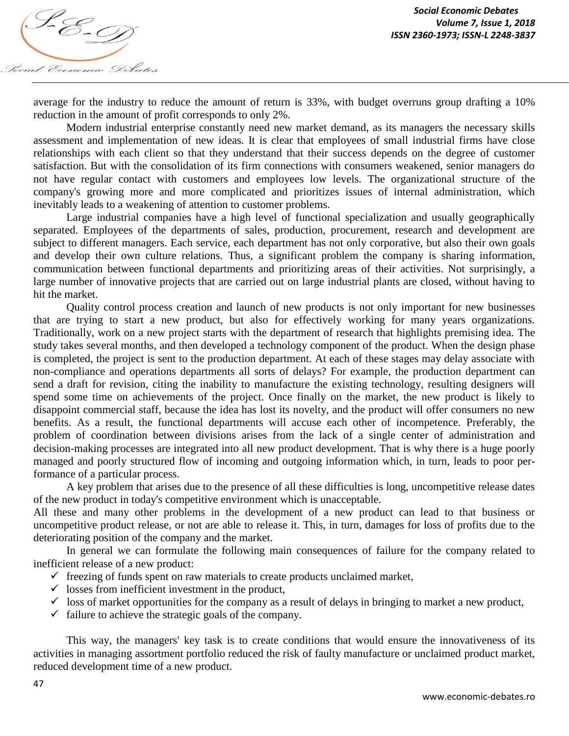

average for the industry to reduce the amount of return is 33%, with budget overruns group drafting a 10% reduction in the amount of profit corresponds to only 2%.

Modern industrial enterprise constantly need new market demand, as its managers the necessary skills assessment and implementation of new ideas. It is clear that employees of small industrial firms have close relationships with each client so that they understand that their success depends on the degree of customer satisfaction. But with the consolidation of its firm connections with consumers weakened, senior managers do not have regular contact with customers and employees low levels. The organizational structure of the company's growing more and more complicated and prioritizes issues of internal administration, which inevitably leads to a weakening of attention to customer problems.

Large industrial companies have a high level of functional specialization and usually geographically separated. Employees of the departments of sales, production, procurement, research and development are subject to different managers. Each service, each department has not only corporative, but also their own goals and develop their own culture relations. Thus, a significant problem the company is sharing information, communication between functional departments and prioritizing areas of their activities. Not surprisingly, a large number of innovative projects that are carried out on large industrial plants are closed, without having to hit the market.

Quality control process creation and launch of new products is not only important for new businesses that are trying to start a new product, but also for effectively working for many years organizations. Traditionally, work on a new project starts with the department of research that highlights premising idea. The study takes several months, and then developed a technology component of the product. When the design phase is completed, the project is sent to the production department. At each of these stages may delay associate with non-compliance and operations departments all sorts of delays? For example, the production department can send a draft for revision, citing the inability to manufacture the existing technology, resulting designers will spend some time on achievements of the project. Once finally on the market, the new product is likely to disappoint commercial staff, because the idea has lost its novelty, and the product will offer consumers no new benefits. As a result, the functional departments will accuse each other of incompetence. Preferably, the problem of coordination between divisions arises from the lack of a single center of administration and decision-making processes are integrated into all new product development. That is why there is a huge poorly managed and poorly structured flow of incoming and outgoing information which, in turn, leads to poor performance of a particular process.

A key problem that arises due to the presence of all these difficulties is long, uncompetitive release dates of the new product in today's competitive environment which is unacceptable.

All these and many other problems in the development of a new product can lead to that business or uncompetitive product release, or not are able to release it. This, in turn, damages for loss of profits due to the deteriorating position of the company and the market.

In general we can formulate the following main consequences of failure for the company related to inefficient release of a new product:

- $\checkmark$  freezing of funds spent on raw materials to create products unclaimed market,
- $\checkmark$  losses from inefficient investment in the product,
- $\checkmark$  loss of market opportunities for the company as a result of delays in bringing to market a new product,
- $\checkmark$  failure to achieve the strategic goals of the company.

This way, the managers' key task is to create conditions that would ensure the innovativeness of its activities in managing assortment portfolio reduced the risk of faulty manufacture or unclaimed product market, reduced development time of a new product.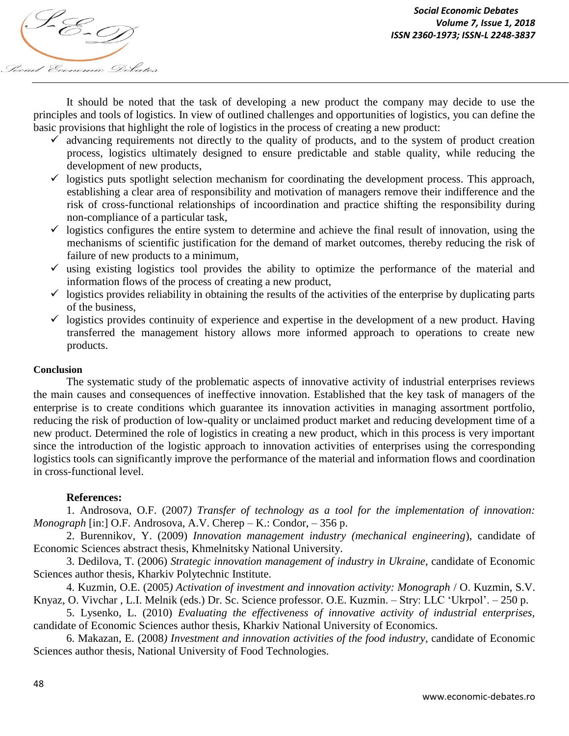

It should be noted that the task of developing a new product the company may decide to use the principles and tools of logistics. In view of outlined challenges and opportunities of logistics, you can define the basic provisions that highlight the role of logistics in the process of creating a new product:

- $\checkmark$  advancing requirements not directly to the quality of products, and to the system of product creation process, logistics ultimately designed to ensure predictable and stable quality, while reducing the development of new products,
- $\checkmark$  logistics puts spotlight selection mechanism for coordinating the development process. This approach, establishing a clear area of responsibility and motivation of managers remove their indifference and the risk of cross-functional relationships of incoordination and practice shifting the responsibility during non-compliance of a particular task,
- $\checkmark$  logistics configures the entire system to determine and achieve the final result of innovation, using the mechanisms of scientific justification for the demand of market outcomes, thereby reducing the risk of failure of new products to a minimum,
- $\checkmark$  using existing logistics tool provides the ability to optimize the performance of the material and information flows of the process of creating a new product,
- $\checkmark$  logistics provides reliability in obtaining the results of the activities of the enterprise by duplicating parts of the business,
- $\checkmark$  logistics provides continuity of experience and expertise in the development of a new product. Having transferred the management history allows more informed approach to operations to create new products.

## **Conclusion**

The systematic study of the problematic aspects of innovative activity of industrial enterprises reviews the main causes and consequences of ineffective innovation. Established that the key task of managers of the enterprise is to create conditions which guarantee its innovation activities in managing assortment portfolio, reducing the risk of production of low-quality or unclaimed product market and reducing development time of a new product. Determined the role of logistics in creating a new product, which in this process is very important since the introduction of the logistic approach to innovation activities of enterprises using the corresponding logistics tools can significantly improve the performance of the material and information flows and coordination in cross-functional level.

## **References:**

1. Androsova, O.F. (2007*) Transfer of technology as a tool for the implementation of innovation: Monograph* [in:] O.F. Androsova, A.V. Cherep – K.: Condor, – 356 p.

2. Burennikov, Y. (2009) *Innovation management industry (mechanical engineering*), candidate of Economic Sciences abstract thesis, Khmelnitsky National University.

3. Dedilova, T. (2006) *Strategic innovation management of industry in Ukraine*, candidate of Economic Sciences author thesis, Kharkiv Polytechnic Institute.

4. Kuzmin, O.E. (2005*) Activation of investment and innovation activity: Monograph* / O. Kuzmin, S.V. Knyaz, O. Vivchar , L.I. Melnik (eds.) Dr. Sc. Science professor. O.E. Kuzmin. – Stry: LLC 'Ukrpol'. – 250 p.

5. Lysenko, L. (2010) *Evaluating the effectiveness of innovative activity of industrial enterprises,* candidate of Economic Sciences author thesis, Kharkiv National University of Economics.

6. Makazan, E. (2008*) Investment and innovation activities of the food industry*, candidate of Economic Sciences author thesis, National University of Food Technologies.